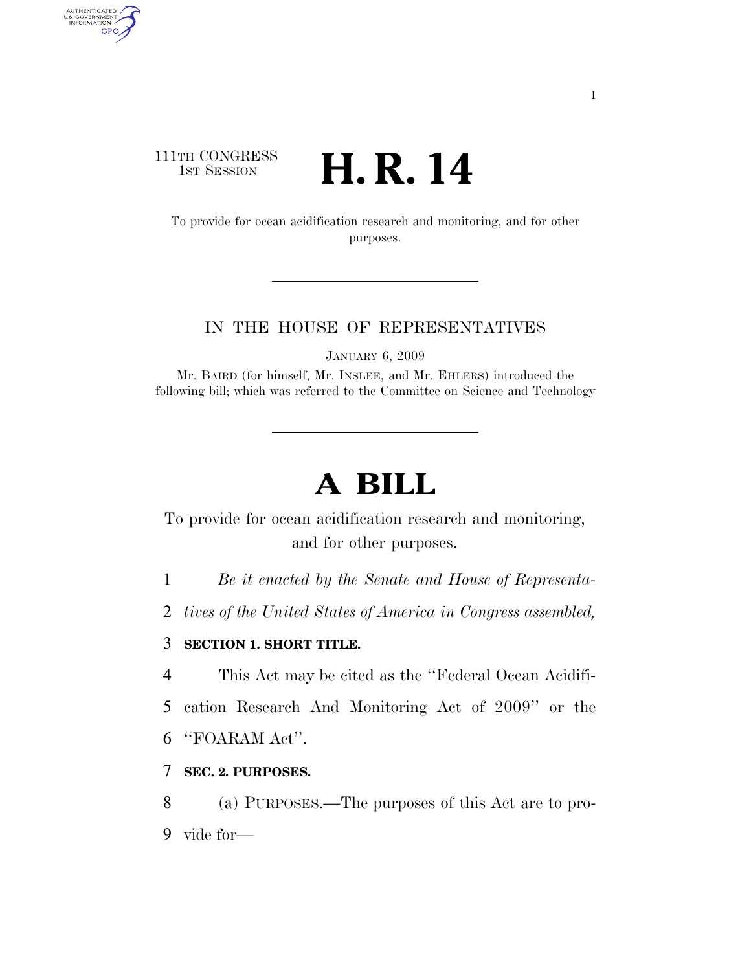# 111TH CONGRESS TH CONGRESS  $\mathbf{H}$ **. R. 14**

AUTHENTICATED<br>U.S. GOVERNMENT<br>INFORMATION GPO

> To provide for ocean acidification research and monitoring, and for other purposes.

# IN THE HOUSE OF REPRESENTATIVES

JANUARY 6, 2009

Mr. BAIRD (for himself, Mr. INSLEE, and Mr. EHLERS) introduced the following bill; which was referred to the Committee on Science and Technology

# **A BILL**

To provide for ocean acidification research and monitoring, and for other purposes.

1 *Be it enacted by the Senate and House of Representa-*

2 *tives of the United States of America in Congress assembled,* 

# 3 **SECTION 1. SHORT TITLE.**

4 This Act may be cited as the ''Federal Ocean Acidifi-

5 cation Research And Monitoring Act of 2009'' or the

6 ''FOARAM Act''.

7 **SEC. 2. PURPOSES.** 

8 (a) PURPOSES.—The purposes of this Act are to pro-9 vide for—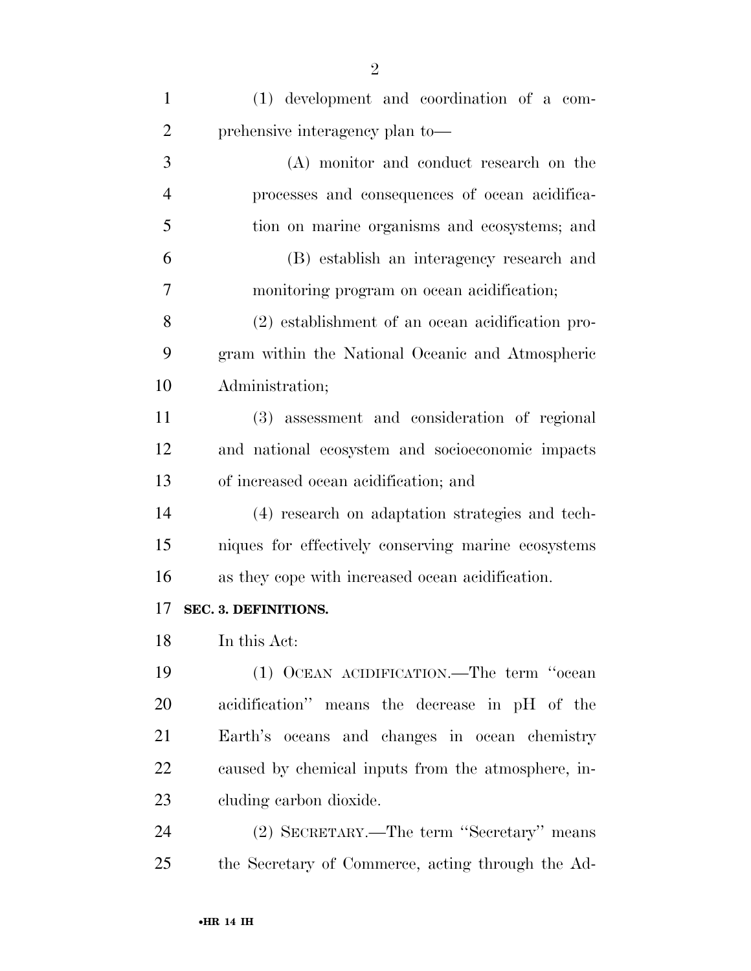| $\mathbf{1}$   | (1) development and coordination of a com-          |
|----------------|-----------------------------------------------------|
| $\overline{2}$ | prehensive interagency plan to-                     |
| 3              | (A) monitor and conduct research on the             |
| $\overline{4}$ | processes and consequences of ocean acidifica-      |
| 5              | tion on marine organisms and ecosystems; and        |
| 6              | (B) establish an interagency research and           |
| $\overline{7}$ | monitoring program on ocean acidification;          |
| 8              | (2) establishment of an ocean acidification pro-    |
| 9              | gram within the National Oceanic and Atmospheric    |
| 10             | Administration;                                     |
| 11             | (3) assessment and consideration of regional        |
| 12             | and national ecosystem and socioeconomic impacts    |
| 13             | of increased ocean acidification; and               |
| 14             | (4) research on adaptation strategies and tech-     |
| 15             | niques for effectively conserving marine ecosystems |
| 16             | as they cope with increased ocean acidification.    |
| 17             | SEC. 3. DEFINITIONS.                                |
| 18             | In this Act:                                        |
| 19             | (1) OCEAN ACIDIFICATION.—The term "ocean            |
| 20             | acidification" means the decrease in pH of the      |
| 21             | Earth's oceans and changes in ocean chemistry       |
| 22             | caused by chemical inputs from the atmosphere, in-  |
| 23             | cluding carbon dioxide.                             |
| 24             | (2) SECRETARY.—The term "Secretary" means           |
| 25             | the Secretary of Commerce, acting through the Ad-   |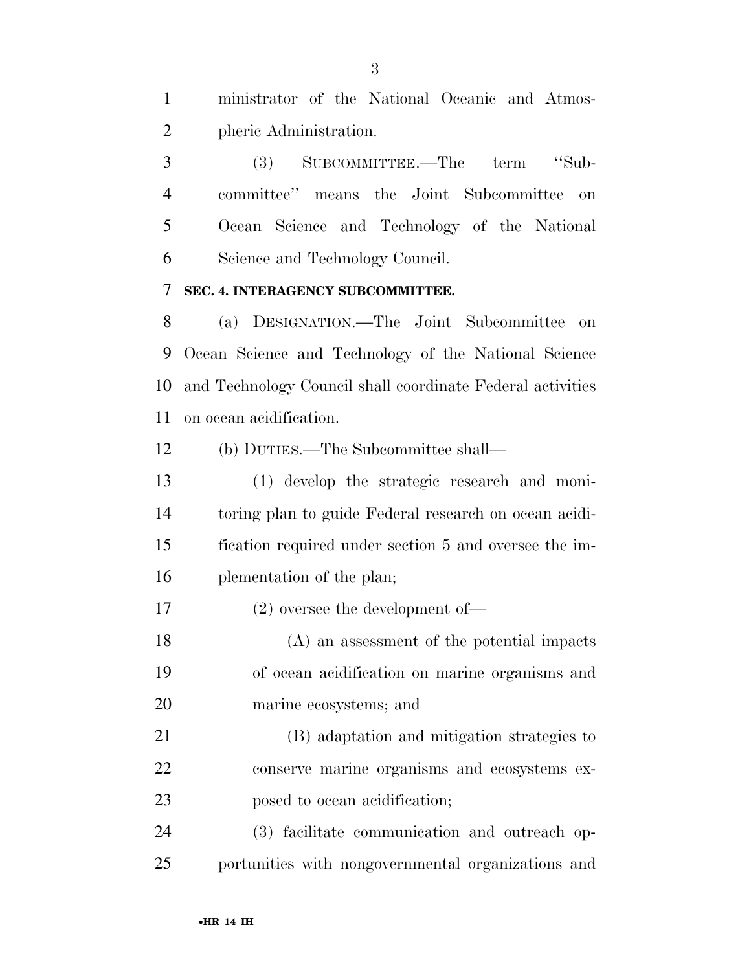ministrator of the National Oceanic and Atmos-pheric Administration.

 (3) SUBCOMMITTEE.—The term ''Sub- committee'' means the Joint Subcommittee on Ocean Science and Technology of the National Science and Technology Council.

#### **SEC. 4. INTERAGENCY SUBCOMMITTEE.**

 (a) DESIGNATION.—The Joint Subcommittee on Ocean Science and Technology of the National Science and Technology Council shall coordinate Federal activities on ocean acidification.

(b) DUTIES.—The Subcommittee shall—

 (1) develop the strategic research and moni- toring plan to guide Federal research on ocean acidi- fication required under section 5 and oversee the im-plementation of the plan;

(2) oversee the development of—

 (A) an assessment of the potential impacts of ocean acidification on marine organisms and marine ecosystems; and

 (B) adaptation and mitigation strategies to conserve marine organisms and ecosystems ex-posed to ocean acidification;

 (3) facilitate communication and outreach op-portunities with nongovernmental organizations and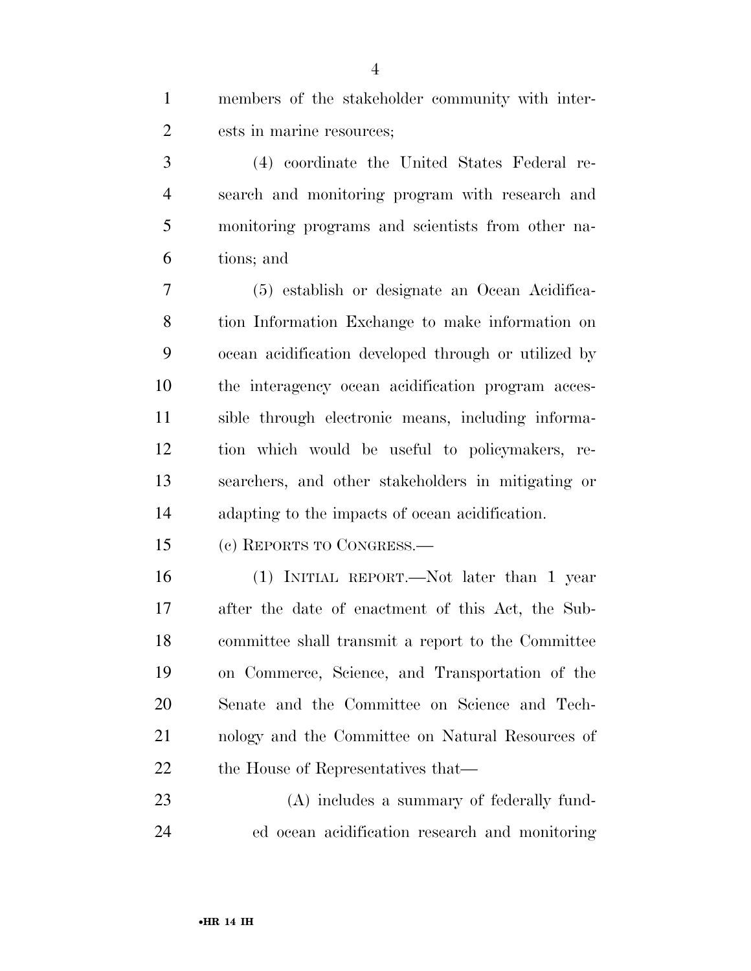| members of the stakeholder community with inter- |
|--------------------------------------------------|
| ests in marine resources;                        |

 (4) coordinate the United States Federal re- search and monitoring program with research and monitoring programs and scientists from other na-tions; and

 (5) establish or designate an Ocean Acidifica- tion Information Exchange to make information on ocean acidification developed through or utilized by the interagency ocean acidification program acces- sible through electronic means, including informa- tion which would be useful to policymakers, re- searchers, and other stakeholders in mitigating or adapting to the impacts of ocean acidification.

(c) REPORTS TO CONGRESS.—

 (1) INITIAL REPORT.—Not later than 1 year after the date of enactment of this Act, the Sub- committee shall transmit a report to the Committee on Commerce, Science, and Transportation of the Senate and the Committee on Science and Tech- nology and the Committee on Natural Resources of 22 the House of Representatives that—

 (A) includes a summary of federally fund-ed ocean acidification research and monitoring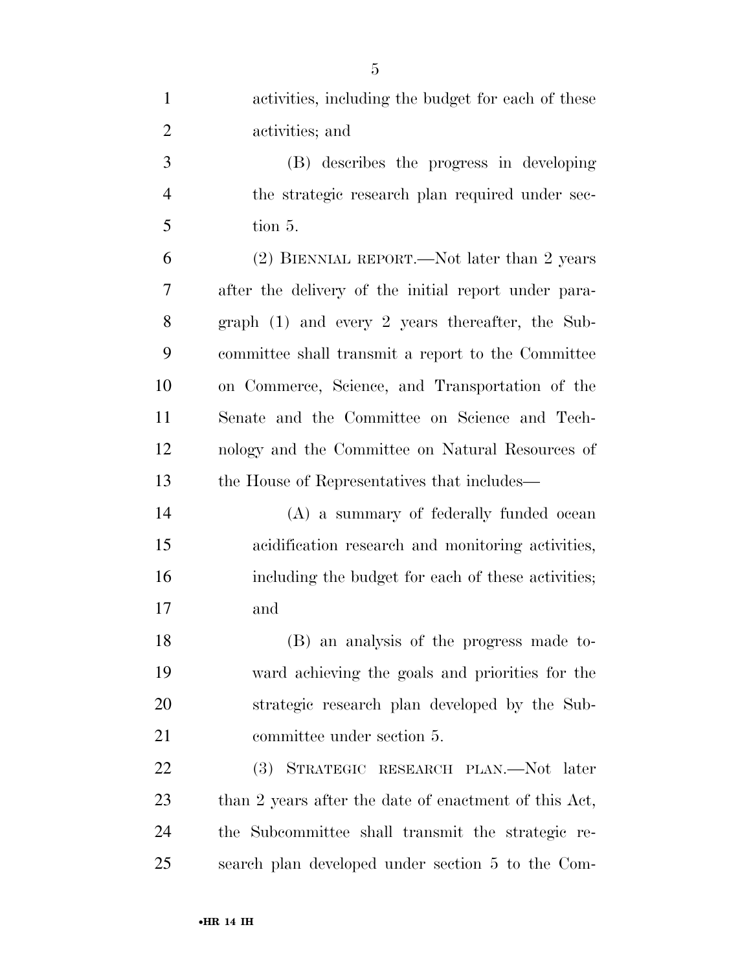| $\mathbf{1}$   | activities, including the budget for each of these    |
|----------------|-------------------------------------------------------|
| $\overline{2}$ | activities; and                                       |
| 3              | (B) describes the progress in developing              |
| $\overline{4}$ | the strategic research plan required under sec-       |
| 5              | tion 5.                                               |
| 6              | (2) BIENNIAL REPORT.—Not later than 2 years           |
| 7              | after the delivery of the initial report under para-  |
| 8              | graph $(1)$ and every 2 years thereafter, the Sub-    |
| 9              | committee shall transmit a report to the Committee    |
| 10             | on Commerce, Science, and Transportation of the       |
| 11             | Senate and the Committee on Science and Tech-         |
| 12             | nology and the Committee on Natural Resources of      |
| 13             | the House of Representatives that includes—           |
| 14             | (A) a summary of federally funded ocean               |
| 15             | acidification research and monitoring activities,     |
| 16             | including the budget for each of these activities;    |
| 17             | and                                                   |
| 18             | (B) an analysis of the progress made to-              |
| 19             | ward achieving the goals and priorities for the       |
| 20             | strategic research plan developed by the Sub-         |
| 21             | committee under section 5.                            |
| 22             | STRATEGIC RESEARCH PLAN.—Not later<br>(3)             |
| 23             | than 2 years after the date of enactment of this Act, |
| 24             | the Subcommittee shall transmit the strategic re-     |
| 25             | search plan developed under section 5 to the Com-     |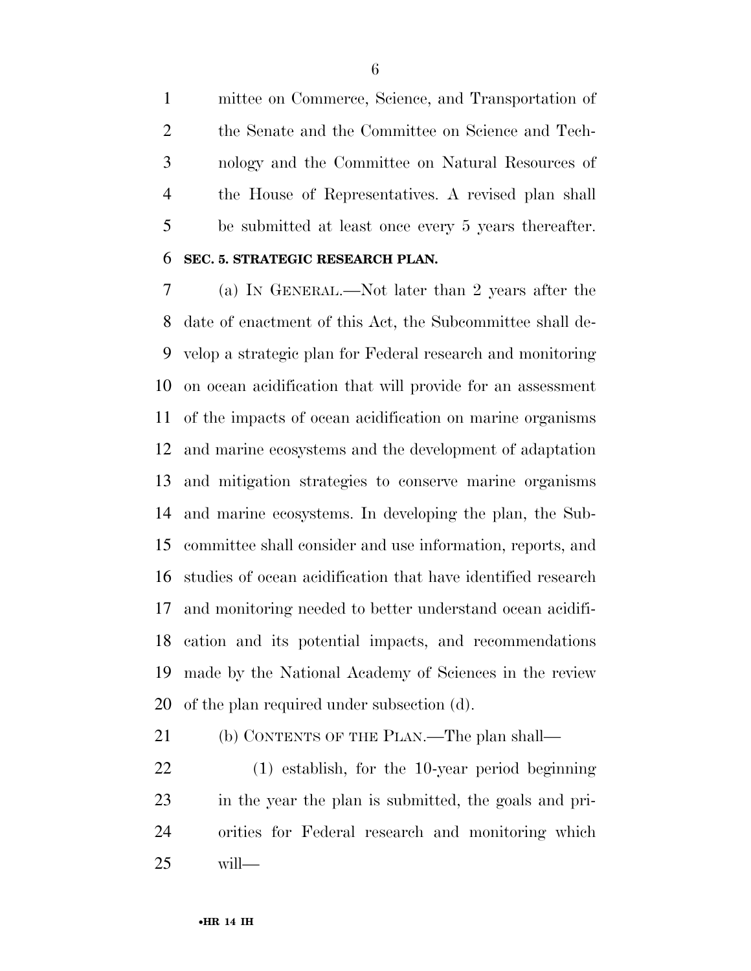mittee on Commerce, Science, and Transportation of the Senate and the Committee on Science and Tech- nology and the Committee on Natural Resources of the House of Representatives. A revised plan shall be submitted at least once every 5 years thereafter.

#### **SEC. 5. STRATEGIC RESEARCH PLAN.**

 (a) IN GENERAL.—Not later than 2 years after the date of enactment of this Act, the Subcommittee shall de- velop a strategic plan for Federal research and monitoring on ocean acidification that will provide for an assessment of the impacts of ocean acidification on marine organisms and marine ecosystems and the development of adaptation and mitigation strategies to conserve marine organisms and marine ecosystems. In developing the plan, the Sub- committee shall consider and use information, reports, and studies of ocean acidification that have identified research and monitoring needed to better understand ocean acidifi- cation and its potential impacts, and recommendations made by the National Academy of Sciences in the review of the plan required under subsection (d).

(b) CONTENTS OF THE PLAN.—The plan shall—

 (1) establish, for the 10-year period beginning in the year the plan is submitted, the goals and pri- orities for Federal research and monitoring which will—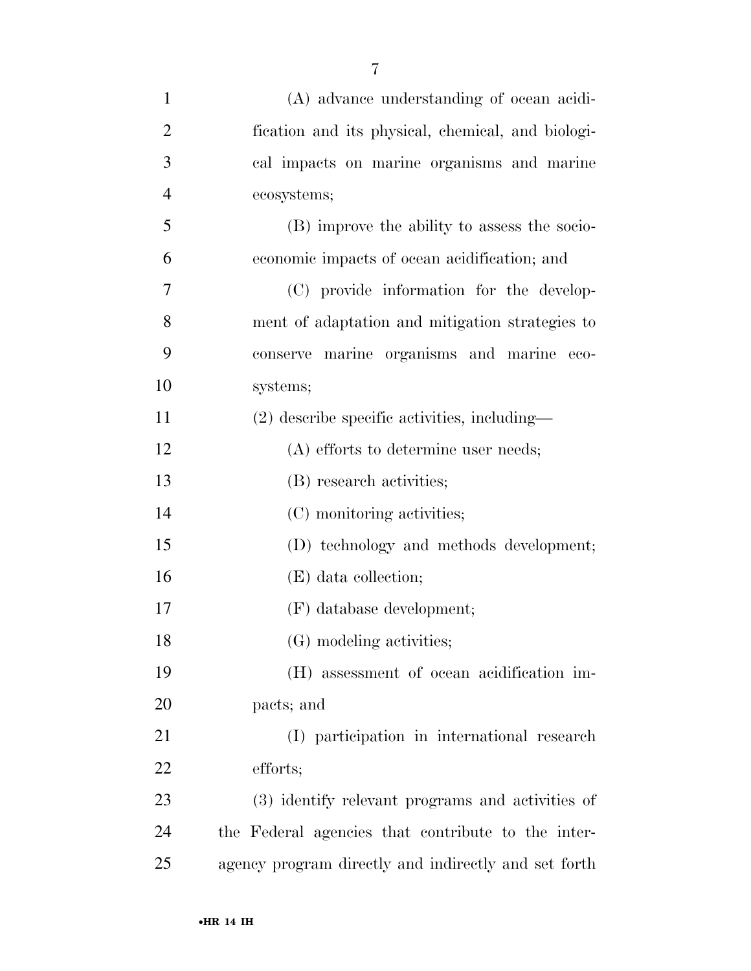| $\mathbf{1}$   | (A) advance understanding of ocean acidi-            |
|----------------|------------------------------------------------------|
| $\overline{2}$ | fication and its physical, chemical, and biologi-    |
| 3              | cal impacts on marine organisms and marine           |
| $\overline{4}$ | ecosystems;                                          |
| 5              | (B) improve the ability to assess the socio-         |
| 6              | economic impacts of ocean acidification; and         |
| 7              | (C) provide information for the develop-             |
| 8              | ment of adaptation and mitigation strategies to      |
| 9              | conserve marine organisms and marine eco-            |
| 10             | systems;                                             |
| 11             | $(2)$ describe specific activities, including—       |
| 12             | $(A)$ efforts to determine user needs;               |
| 13             | (B) research activities;                             |
| 14             | (C) monitoring activities;                           |
| 15             | (D) technology and methods development;              |
| 16             | (E) data collection;                                 |
| 17             | (F) database development;                            |
| 18             | (G) modeling activities;                             |
| 19             | (H) assessment of ocean acidification im-            |
| 20             | pacts; and                                           |
| 21             | (I) participation in international research          |
| 22             | efforts;                                             |
| 23             | (3) identify relevant programs and activities of     |
| 24             | the Federal agencies that contribute to the inter-   |
| 25             | agency program directly and indirectly and set forth |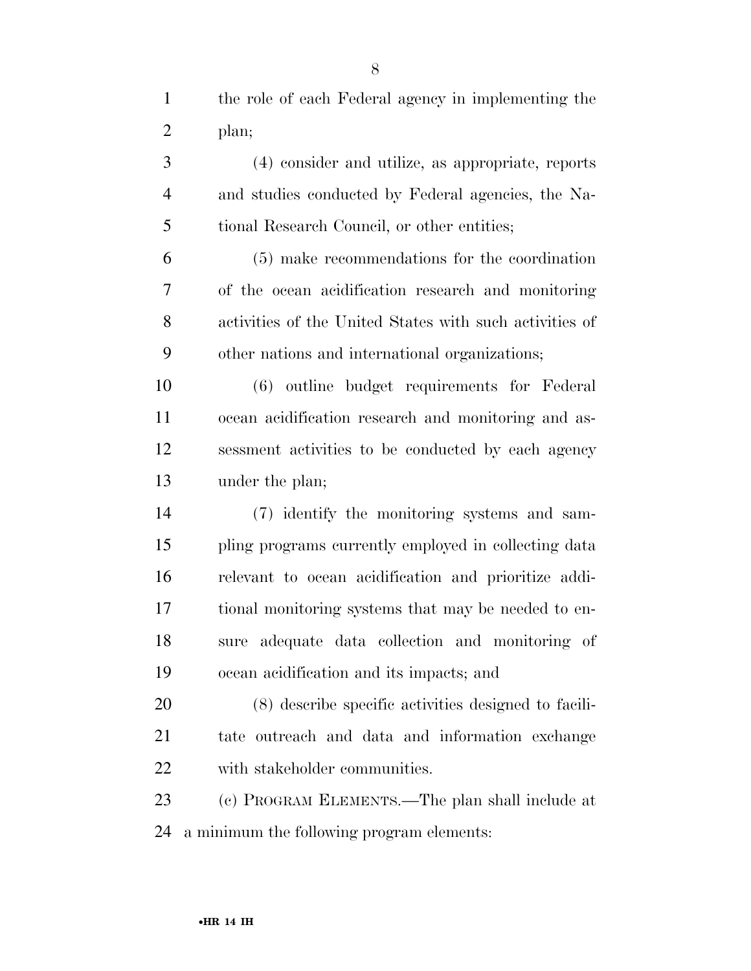(4) consider and utilize, as appropriate, reports and studies conducted by Federal agencies, the Na- tional Research Council, or other entities; (5) make recommendations for the coordination of the ocean acidification research and monitoring activities of the United States with such activities of other nations and international organizations;

 (6) outline budget requirements for Federal ocean acidification research and monitoring and as- sessment activities to be conducted by each agency under the plan;

 (7) identify the monitoring systems and sam- pling programs currently employed in collecting data relevant to ocean acidification and prioritize addi- tional monitoring systems that may be needed to en- sure adequate data collection and monitoring of ocean acidification and its impacts; and

 (8) describe specific activities designed to facili- tate outreach and data and information exchange with stakeholder communities.

 (c) PROGRAM ELEMENTS.—The plan shall include at a minimum the following program elements: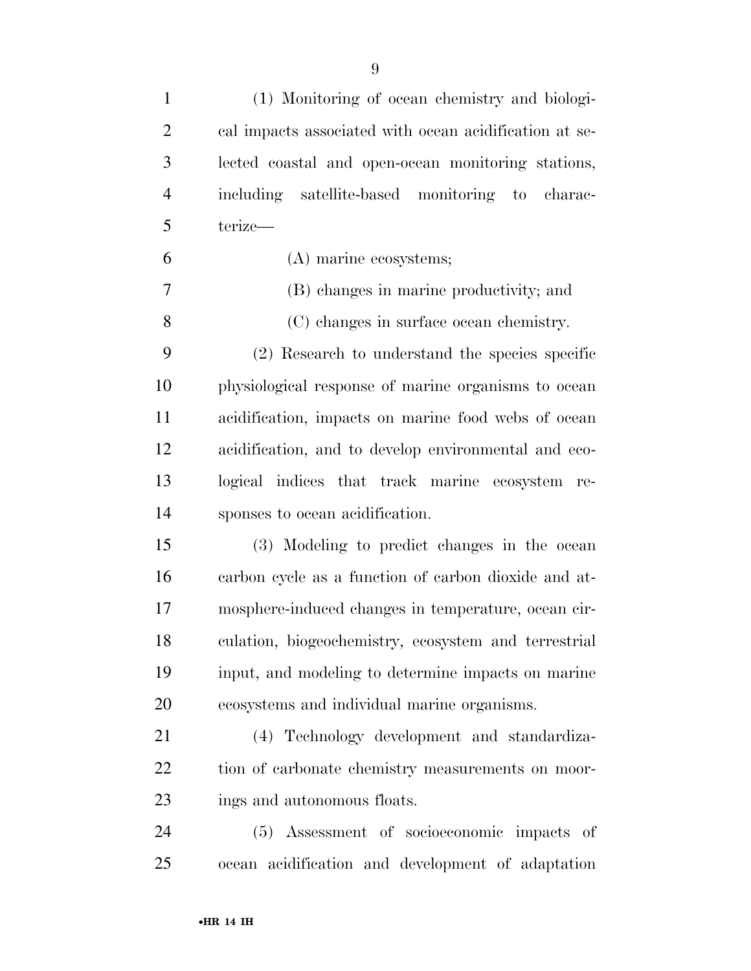| $\mathbf{1}$   | (1) Monitoring of ocean chemistry and biologi-         |
|----------------|--------------------------------------------------------|
| $\overline{2}$ | cal impacts associated with ocean acidification at se- |
| 3              | lected coastal and open-ocean monitoring stations,     |
| $\overline{4}$ | including satellite-based monitoring to charac-        |
| 5              | terize-                                                |
| 6              | (A) marine ecosystems;                                 |
| 7              | (B) changes in marine productivity; and                |
| 8              | (C) changes in surface ocean chemistry.                |
| 9              | (2) Research to understand the species specific        |
| 10             | physiological response of marine organisms to ocean    |
| 11             | acidification, impacts on marine food webs of ocean    |
| 12             | acidification, and to develop environmental and eco-   |
| 13             | logical indices that track marine ecosystem re-        |
| 14             | sponses to ocean acidification.                        |
| 15             | (3) Modeling to predict changes in the ocean           |
| 16             | carbon cycle as a function of carbon dioxide and at-   |
| 17             | mosphere-induced changes in temperature, ocean cir-    |
| 18             | culation, biogeochemistry, ecosystem and terrestrial   |
| 19             | input, and modeling to determine impacts on marine     |
| 20             | ecosystems and individual marine organisms.            |
| 21             | (4) Technology development and standardiza-            |
| 22             | tion of carbonate chemistry measurements on moor-      |
| 23             | ings and autonomous floats.                            |
| 24             | Assessment of socioeconomic impacts of<br>(5)          |
| 25             | ocean acidification and development of adaptation      |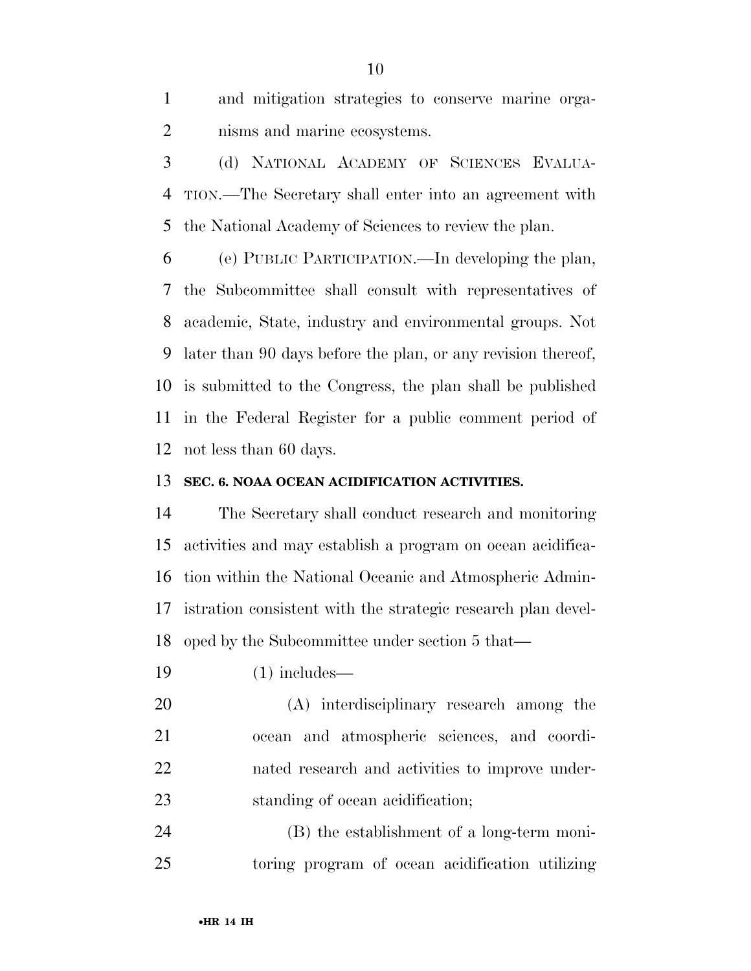and mitigation strategies to conserve marine orga-nisms and marine ecosystems.

 (d) NATIONAL ACADEMY OF SCIENCES EVALUA- TION.—The Secretary shall enter into an agreement with the National Academy of Sciences to review the plan.

 (e) PUBLIC PARTICIPATION.—In developing the plan, the Subcommittee shall consult with representatives of academic, State, industry and environmental groups. Not later than 90 days before the plan, or any revision thereof, is submitted to the Congress, the plan shall be published in the Federal Register for a public comment period of not less than 60 days.

# **SEC. 6. NOAA OCEAN ACIDIFICATION ACTIVITIES.**

 The Secretary shall conduct research and monitoring activities and may establish a program on ocean acidifica- tion within the National Oceanic and Atmospheric Admin- istration consistent with the strategic research plan devel-oped by the Subcommittee under section 5 that—

(1) includes—

 (A) interdisciplinary research among the ocean and atmospheric sciences, and coordi- nated research and activities to improve under-23 standing of ocean acidification;

 (B) the establishment of a long-term moni-toring program of ocean acidification utilizing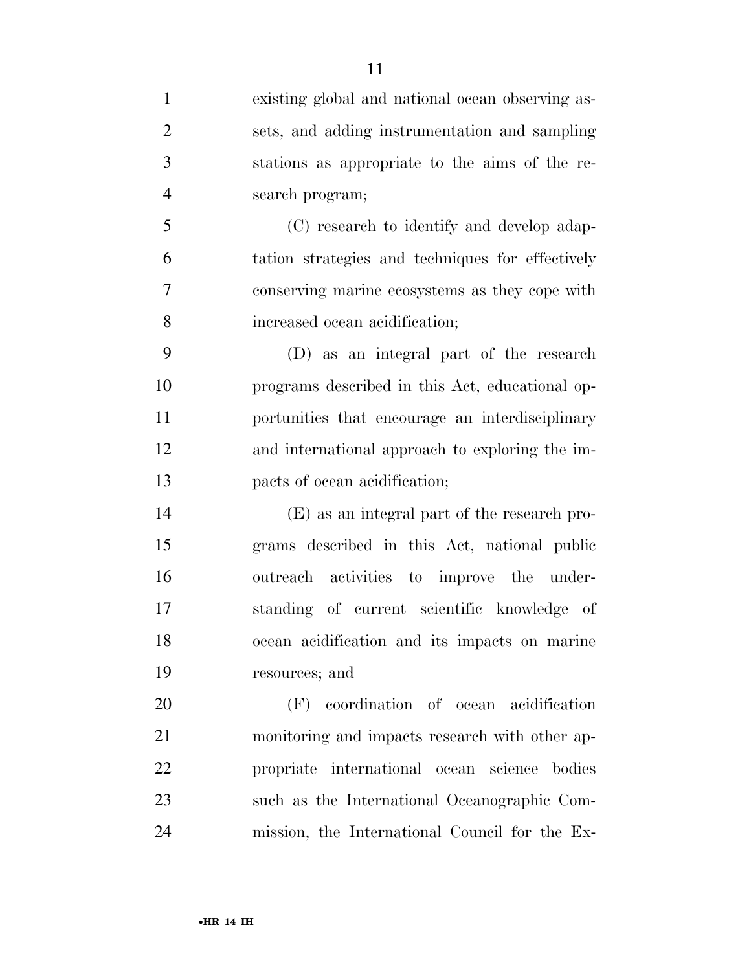| $\mathbf{1}$   | existing global and national ocean observing as- |
|----------------|--------------------------------------------------|
| $\overline{2}$ | sets, and adding instrumentation and sampling    |
| 3              | stations as appropriate to the aims of the re-   |
| $\overline{4}$ | search program;                                  |
| 5              | (C) research to identify and develop adap-       |
| 6              | tation strategies and techniques for effectively |
| 7              | conserving marine ecosystems as they cope with   |
| $8\,$          | increased ocean acidification;                   |
| 9              | (D) as an integral part of the research          |
| 10             | programs described in this Act, educational op-  |
| 11             | portunities that encourage an interdisciplinary  |
| 12             | and international approach to exploring the im-  |
| 13             | pacts of ocean acidification;                    |
| 14             | (E) as an integral part of the research pro-     |
| 15             | grams described in this Act, national public     |
| 16             | outreach activities to improve the under-        |
| 17             | standing of current scientific knowledge of      |
| 18             | ocean acidification and its impacts on marine    |
| 19             | resources; and                                   |
| 20             | (F) coordination of ocean acidification          |
| 21             | monitoring and impacts research with other ap-   |
| 22             | propriate international ocean science<br>bodies  |
| 23             | such as the International Oceanographic Com-     |
| 24             | mission, the International Council for the Ex-   |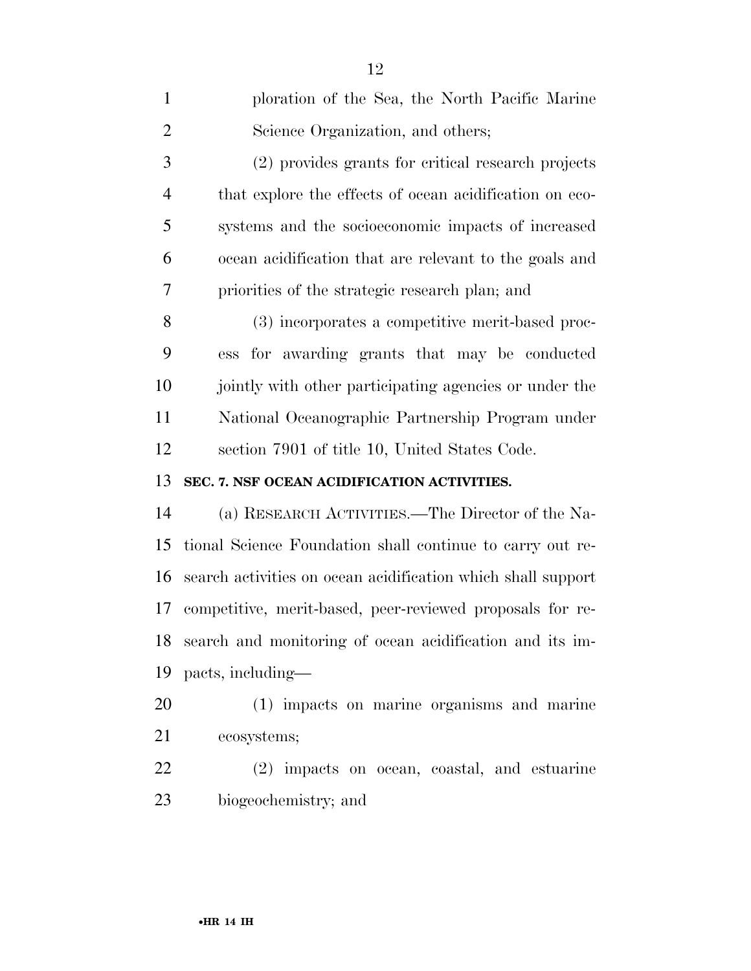| $\mathbf{1}$   | ploration of the Sea, the North Pacific Marine               |
|----------------|--------------------------------------------------------------|
| $\overline{2}$ | Science Organization, and others;                            |
| 3              | (2) provides grants for critical research projects           |
| $\overline{4}$ | that explore the effects of ocean acidification on eco-      |
| 5              | systems and the socioeconomic impacts of increased           |
| 6              | ocean acidification that are relevant to the goals and       |
| 7              | priorities of the strategic research plan; and               |
| 8              | (3) incorporates a competitive merit-based proc-             |
| 9              | ess for awarding grants that may be conducted                |
| 10             | jointly with other participating agencies or under the       |
| 11             | National Oceanographic Partnership Program under             |
| 12             | section 7901 of title 10, United States Code.                |
| 13             | SEC. 7. NSF OCEAN ACIDIFICATION ACTIVITIES.                  |
| 14             | (a) RESEARCH ACTIVITIES.—The Director of the Na-             |
| 15             | tional Science Foundation shall continue to carry out re-    |
| 16             | search activities on ocean acidification which shall support |
| 17             | competitive, merit-based, peer-reviewed proposals for re-    |
|                | 18 search and monitoring of ocean acidification and its im-  |
| 19             | pacts, including—                                            |
| 20             | (1) impacts on marine organisms and marine                   |
| 21             | ecosystems;                                                  |
| 22             | (2) impacts on ocean, coastal, and estuarine                 |
| 23             | biogeochemistry; and                                         |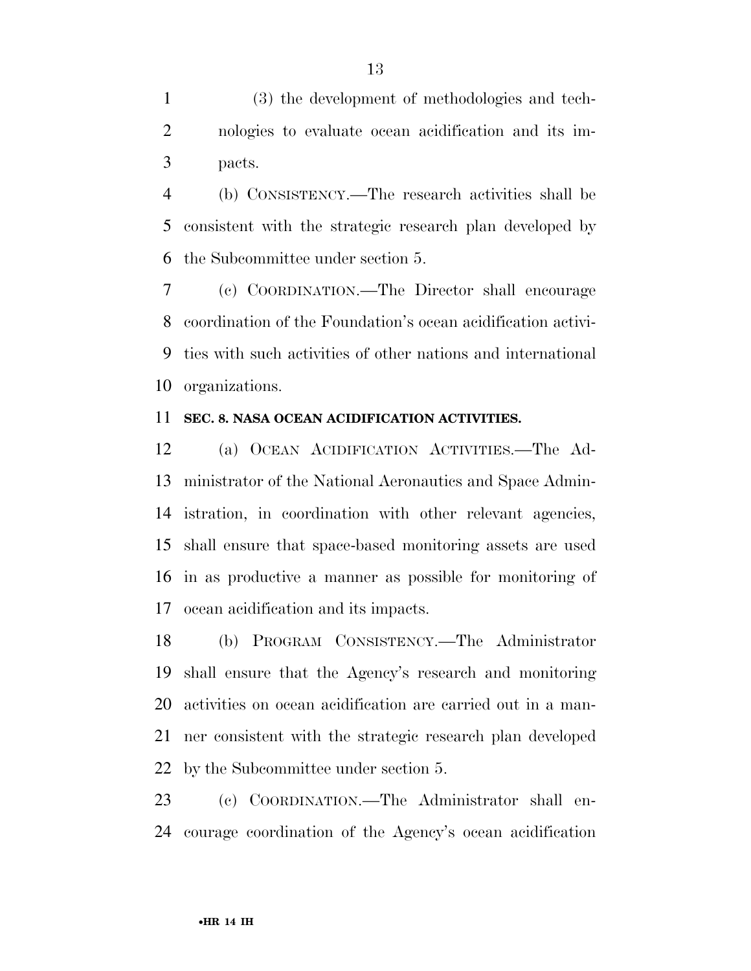(3) the development of methodologies and tech- nologies to evaluate ocean acidification and its im-pacts.

 (b) CONSISTENCY.—The research activities shall be consistent with the strategic research plan developed by the Subcommittee under section 5.

 (c) COORDINATION.—The Director shall encourage coordination of the Foundation's ocean acidification activi- ties with such activities of other nations and international organizations.

#### **SEC. 8. NASA OCEAN ACIDIFICATION ACTIVITIES.**

 (a) OCEAN ACIDIFICATION ACTIVITIES.—The Ad- ministrator of the National Aeronautics and Space Admin- istration, in coordination with other relevant agencies, shall ensure that space-based monitoring assets are used in as productive a manner as possible for monitoring of ocean acidification and its impacts.

 (b) PROGRAM CONSISTENCY.—The Administrator shall ensure that the Agency's research and monitoring activities on ocean acidification are carried out in a man- ner consistent with the strategic research plan developed by the Subcommittee under section 5.

 (c) COORDINATION.—The Administrator shall en-courage coordination of the Agency's ocean acidification